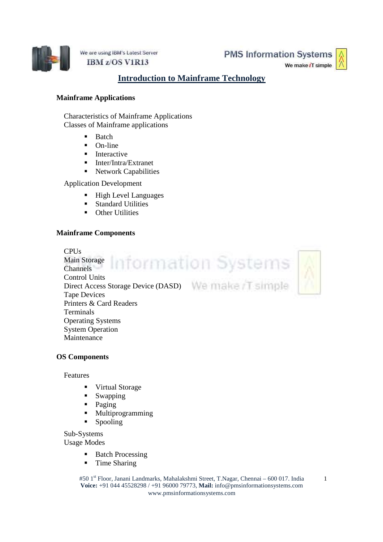

We are using IBM's Latest Server IBM z/OS V1R13

**PMS Information Systems** 

We make iT simple

# **Introduction to Mainframe Technology**

### **Mainframe Applications**

Characteristics of Mainframe Applications Classes of Mainframe applications

- **Batch**
- $\blacksquare$  On-line
- $\blacksquare$  Interactive
- Inter/Intra/Extranet
- Network Capabilities

Application Development

- High Level Languages
- Standard Utilities
- **•** Other Utilities

## **Mainframe Components**

**CPUs** Information Systems Main Storage Channels Control Units Direct Access Storage Device (DASD) We make T simple Tape Devices Printers & Card Readers Terminals Operating Systems System Operation **Maintenance** 

### **OS Components**

Features

- Virtual Storage
- **Swapping**
- Paging
- **Multiprogramming**
- Spooling

Sub-Systems

Usage Modes

- Batch Processing
- **Time Sharing**

#50 1<sup>st</sup> Floor, Janani Landmarks, Mahalakshmi Street, T.Nagar, Chennai – 600 017. India **Voice:** +91 044 45528298 / +91 96000 79773, **Mail:** info@pmsinformationsystems.com www.pmsinformationsystems.com

1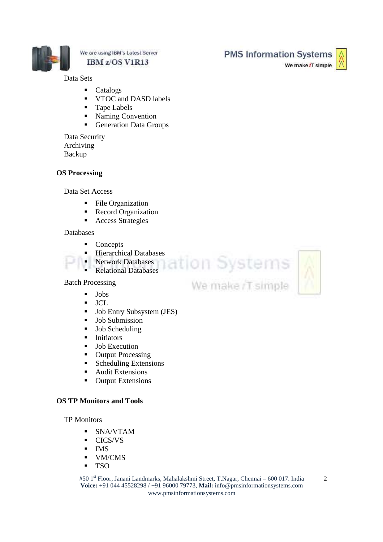

### We are using IBM's Latest Server IBM z/OS V1R13

Data Sets

- Catalogs
- **VTOC** and DASD labels
- **Tape Labels**
- Naming Convention
- Generation Data Groups

Data Security Archiving Backup

### **OS Processing**

Data Set Access

- File Organization
- Record Organization
- Access Strategies

#### Databases

- Concepts
- 
- Hierarchical Databases<br>• Network Databases<br>• Relational Databases • Network Databases<br>• Relational Database
- Relational Databases

Batch Processing

- **Jobs**
- JCL
- **Job Entry Subsystem (JES)**
- **Job Submission**
- **Job Scheduling**
- **Initiators**
- **Job Execution**
- Output Processing
- Scheduling Extensions
- Audit Extensions
- **Output Extensions**

### **OS TP Monitors and Tools**

TP Monitors

- SNA/VTAM
- **CICS/VS**
- $IMS$
- **v** VM/CMS
- TSO

#50 1st Floor, Janani Landmarks, Mahalakshmi Street, T.Nagar, Chennai – 600 017. India **Voice:** +91 044 45528298 / +91 96000 79773, **Mail:** info@pmsinformationsystems.com www.pmsinformationsystems.com

We make iT simple





**PMS Information Systems**